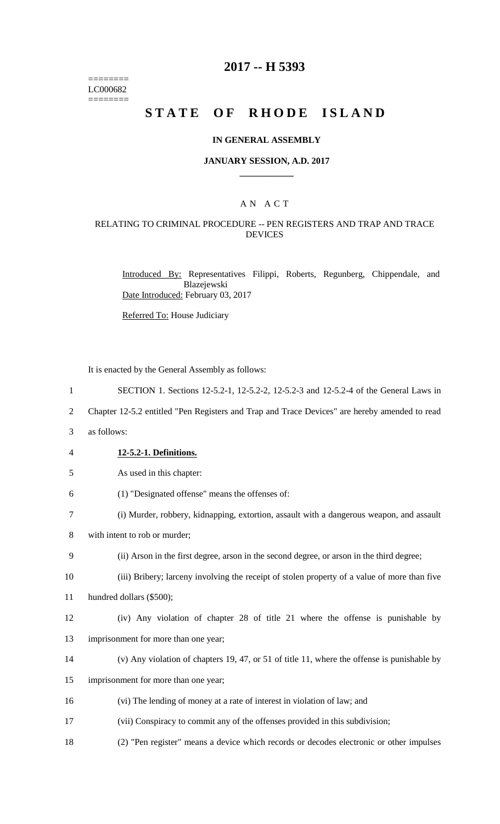======== LC000682 ========

## **2017 -- H 5393**

# **STATE OF RHODE ISLAND**

#### **IN GENERAL ASSEMBLY**

#### **JANUARY SESSION, A.D. 2017 \_\_\_\_\_\_\_\_\_\_\_\_**

## A N A C T

### RELATING TO CRIMINAL PROCEDURE -- PEN REGISTERS AND TRAP AND TRACE DEVICES

Introduced By: Representatives Filippi, Roberts, Regunberg, Chippendale, and Blazejewski Date Introduced: February 03, 2017

Referred To: House Judiciary

It is enacted by the General Assembly as follows:

- 1 SECTION 1. Sections 12-5.2-1, 12-5.2-2, 12-5.2-3 and 12-5.2-4 of the General Laws in
- 2 Chapter 12-5.2 entitled "Pen Registers and Trap and Trace Devices" are hereby amended to read
- 3 as follows:
- 4 **12-5.2-1. Definitions.**
- 5 As used in this chapter:
- 6 (1) "Designated offense" means the offenses of:
- 7 (i) Murder, robbery, kidnapping, extortion, assault with a dangerous weapon, and assault
- 8 with intent to rob or murder;
- 9 (ii) Arson in the first degree, arson in the second degree, or arson in the third degree;
- 10 (iii) Bribery; larceny involving the receipt of stolen property of a value of more than five

11 hundred dollars (\$500);

- 12 (iv) Any violation of chapter 28 of title 21 where the offense is punishable by
- 13 imprisonment for more than one year;
- 14 (v) Any violation of chapters 19, 47, or 51 of title 11, where the offense is punishable by
- 15 imprisonment for more than one year;
- 16 (vi) The lending of money at a rate of interest in violation of law; and
- 17 (vii) Conspiracy to commit any of the offenses provided in this subdivision;
- 18 (2) "Pen register" means a device which records or decodes electronic or other impulses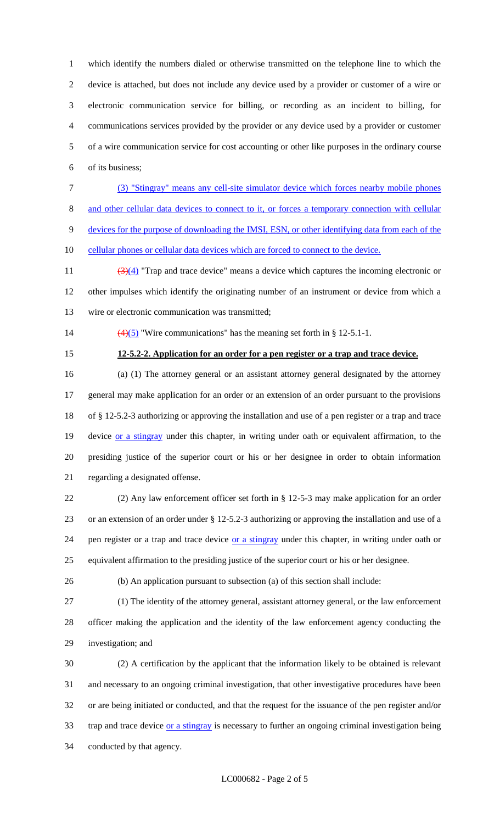which identify the numbers dialed or otherwise transmitted on the telephone line to which the device is attached, but does not include any device used by a provider or customer of a wire or electronic communication service for billing, or recording as an incident to billing, for communications services provided by the provider or any device used by a provider or customer of a wire communication service for cost accounting or other like purposes in the ordinary course of its business;

 (3) "Stingray" means any cell-site simulator device which forces nearby mobile phones and other cellular data devices to connect to it, or forces a temporary connection with cellular devices for the purpose of downloading the IMSI, ESN, or other identifying data from each of the

10 cellular phones or cellular data devices which are forced to connect to the device.

11  $\left(\frac{3(4)}{1}\right)$  "Trap and trace device" means a device which captures the incoming electronic or other impulses which identify the originating number of an instrument or device from which a wire or electronic communication was transmitted;

- 14  $\left(\frac{4}{5}\right)$  "Wire communications" has the meaning set forth in § 12-5.1-1.
- 

#### **12-5.2-2. Application for an order for a pen register or a trap and trace device.**

 (a) (1) The attorney general or an assistant attorney general designated by the attorney general may make application for an order or an extension of an order pursuant to the provisions of § 12-5.2-3 authorizing or approving the installation and use of a pen register or a trap and trace 19 device or a stingray under this chapter, in writing under oath or equivalent affirmation, to the presiding justice of the superior court or his or her designee in order to obtain information regarding a designated offense.

 (2) Any law enforcement officer set forth in § 12-5-3 may make application for an order or an extension of an order under § 12-5.2-3 authorizing or approving the installation and use of a 24 pen register or a trap and trace device or a stingray under this chapter, in writing under oath or equivalent affirmation to the presiding justice of the superior court or his or her designee.

(b) An application pursuant to subsection (a) of this section shall include:

 (1) The identity of the attorney general, assistant attorney general, or the law enforcement officer making the application and the identity of the law enforcement agency conducting the investigation; and

 (2) A certification by the applicant that the information likely to be obtained is relevant and necessary to an ongoing criminal investigation, that other investigative procedures have been or are being initiated or conducted, and that the request for the issuance of the pen register and/or 33 trap and trace device or a stingray is necessary to further an ongoing criminal investigation being conducted by that agency.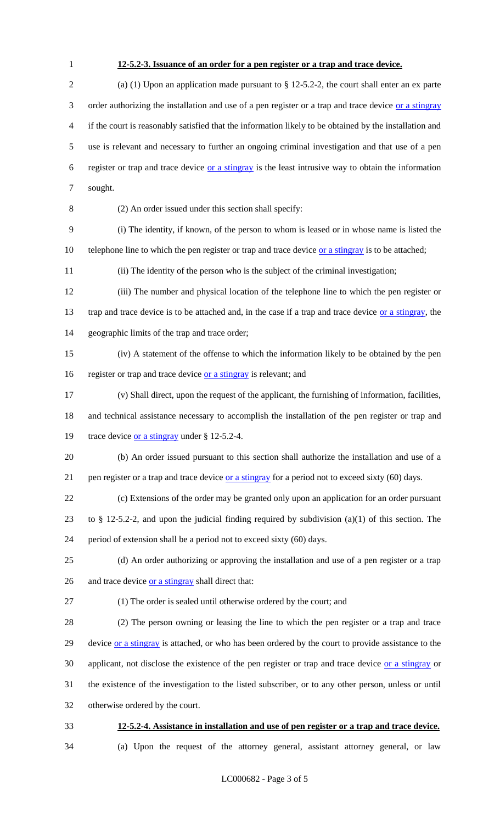## **12-5.2-3. Issuance of an order for a pen register or a trap and trace device.**

 (a) (1) Upon an application made pursuant to § 12-5.2-2, the court shall enter an ex parte 3 order authorizing the installation and use of a pen register or a trap and trace device or a stingray if the court is reasonably satisfied that the information likely to be obtained by the installation and use is relevant and necessary to further an ongoing criminal investigation and that use of a pen register or trap and trace device or a stingray is the least intrusive way to obtain the information sought.

(2) An order issued under this section shall specify:

 (i) The identity, if known, of the person to whom is leased or in whose name is listed the 10 telephone line to which the pen register or trap and trace device or a stingray is to be attached;

(ii) The identity of the person who is the subject of the criminal investigation;

 (iii) The number and physical location of the telephone line to which the pen register or 13 trap and trace device is to be attached and, in the case if a trap and trace device or a stingray, the geographic limits of the trap and trace order;

 (iv) A statement of the offense to which the information likely to be obtained by the pen 16 register or trap and trace device or a stingray is relevant; and

 (v) Shall direct, upon the request of the applicant, the furnishing of information, facilities, and technical assistance necessary to accomplish the installation of the pen register or trap and

19 trace device <u>or a stingray</u> under § 12-5.2-4.

 (b) An order issued pursuant to this section shall authorize the installation and use of a 21 pen register or a trap and trace device  $\overline{or}$  a stingray for a period not to exceed sixty (60) days.

 (c) Extensions of the order may be granted only upon an application for an order pursuant 23 to § 12-5.2-2, and upon the judicial finding required by subdivision (a)(1) of this section. The period of extension shall be a period not to exceed sixty (60) days.

 (d) An order authorizing or approving the installation and use of a pen register or a trap 26 and trace device <u>or a stingray</u> shall direct that:

(1) The order is sealed until otherwise ordered by the court; and

 (2) The person owning or leasing the line to which the pen register or a trap and trace 29 device or a stingray is attached, or who has been ordered by the court to provide assistance to the applicant, not disclose the existence of the pen register or trap and trace device or a stingray or the existence of the investigation to the listed subscriber, or to any other person, unless or until otherwise ordered by the court.

**12-5.2-4. Assistance in installation and use of pen register or a trap and trace device.**

(a) Upon the request of the attorney general, assistant attorney general, or law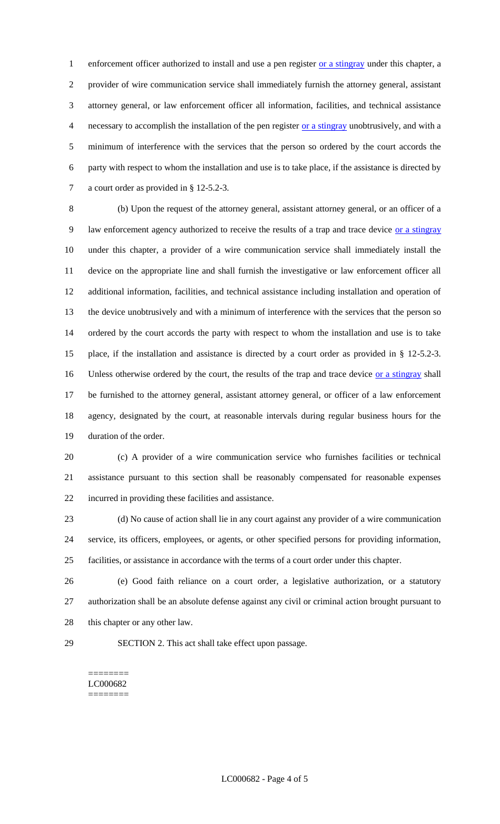1 enforcement officer authorized to install and use a pen register or a stingray under this chapter, a provider of wire communication service shall immediately furnish the attorney general, assistant attorney general, or law enforcement officer all information, facilities, and technical assistance necessary to accomplish the installation of the pen register or a stingray unobtrusively, and with a minimum of interference with the services that the person so ordered by the court accords the party with respect to whom the installation and use is to take place, if the assistance is directed by a court order as provided in § 12-5.2-3.

 (b) Upon the request of the attorney general, assistant attorney general, or an officer of a 9 law enforcement agency authorized to receive the results of a trap and trace device or a stingray under this chapter, a provider of a wire communication service shall immediately install the device on the appropriate line and shall furnish the investigative or law enforcement officer all additional information, facilities, and technical assistance including installation and operation of the device unobtrusively and with a minimum of interference with the services that the person so ordered by the court accords the party with respect to whom the installation and use is to take place, if the installation and assistance is directed by a court order as provided in § 12-5.2-3. 16 Unless otherwise ordered by the court, the results of the trap and trace device or a stingray shall be furnished to the attorney general, assistant attorney general, or officer of a law enforcement agency, designated by the court, at reasonable intervals during regular business hours for the duration of the order.

 (c) A provider of a wire communication service who furnishes facilities or technical assistance pursuant to this section shall be reasonably compensated for reasonable expenses incurred in providing these facilities and assistance.

 (d) No cause of action shall lie in any court against any provider of a wire communication service, its officers, employees, or agents, or other specified persons for providing information, facilities, or assistance in accordance with the terms of a court order under this chapter.

 (e) Good faith reliance on a court order, a legislative authorization, or a statutory authorization shall be an absolute defense against any civil or criminal action brought pursuant to 28 this chapter or any other law.

SECTION 2. This act shall take effect upon passage.

======== LC000682 ========